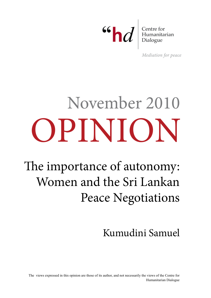66 **d** Eentre for Humanitarian

Mediation for peace

# opinion November 2010

The importance of autonomy: Women and the Sri Lankan Peace Negotiations

# Kumudini Samuel

The views expressed in this opinion are those of its author, and not necessarily the views of the Centre for Humanitarian Dialogue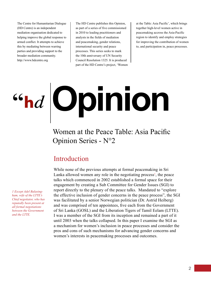The Centre for Humanitarian Dialogue (HD Centre) is an independent mediation organisation dedicated to helping improve the global response to armed conflict. It attempts to achieve this by mediating between warring parties and providing support to the broader mediation community. http://www.hdcentre.org

The HD Centre publishes this Opinion, as part of a series of five commissioned in 2010 to leading practitioners and analysts in the fields of mediation and peacemaking, gender relations, international security and peace processes. This series seeks to mark the 10th anniversary of UN Security Council Resolution 1325. It is produced part of the HD Centre's project, 'Women

at the Table: Asia Pacific', which brings together high-level women active in peacemaking accross the Asia-Pacific region to identify and employ strategies for improving the contribution of women to, and participation in, peace processes.

# **Opinion**

# Women at the Peace Table: Asia Pacific Opinion Series - N°2

### Introduction

While none of the previous attempts at formal peacemaking in Sri Lanka allowed women any role in the negotiating process<sup>1</sup>, the peace talks which commenced in 2002 established a formal space for their engagement by creating a Sub Committee for Gender Issues (SGI) to report directly to the plenary of the peace talks. Mandated to "explore the effective inclusion of gender concerns in the peace process", the SGI was facilitated by a senior Norwegian politician (Dr. Astrid Heiberg) and was comprised of ten appointees, five each from the Government of Sri Lanka (GOSL) and the Liberation Tigers of Tamil Eelam (LTTE). I was a member of the SGI from its inception and remained a part of it until 2003 when the talks collapsed. In this paper I examine the SGI as a mechanism for women's inclusion in peace processes and consider the pros and cons of such mechanisms for advancing gender concerns and women's interests in peacemaking processes and outcomes.

*1 Except Adel Balasingham, wife of the LTTE's Chief negotiator, who has reputedly been present at all formal negotiations between the Government and the LTTE.*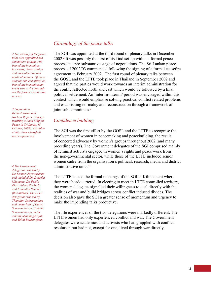*2 The plenary of the peace talks also appointed sub committees to deal with immediate humanitarian needs, de-escalation and normalisation and political matters. Of these only the sub committee on immediate humanitarian needs was active throughout the formal negotiation process.*

*3 Loganathan, Ketheshwaran and Norbert Ropers, Conceptualizing a Road Map for Peace in Sri Lanka, (8 October, 2002). Available at http://www.berghofpeacesupport.org*

*4 The Government delegation was led by Dr. Kumari Jayawardena and included Dr. Deepika Udagama, Dr. Fazila Riaz, Faizun Zackeria and Kumudini Samuel (this author). The LTTE delegation was led by Thamilini Subramaniam and comprised of Kaaya Somasundaram, Premila Somasundaram, Suthamathy Shanmugarajah and Yalini Balasingham.*

#### *Chronology of the peace talks*

The SGI was appointed at the third round of plenary talks in December 2002.<sup>2</sup> It was possibly the first of its kind set-up within a formal peace process at a pre-substantive stage of negotiations. The Sri Lankan peace process of 2002/03 commenced following the signing of a formal ceasefire agreement in February 2002. The first round of plenary talks between the GOSL and the LTTE took place in Thailand in September 2002 and agreed that the parties would work towards an interim administration for the conflict affected north and east which would be followed by a final political settlement. An 'interim-interim' period was envisaged within this context which would emphasise solving practical conflict related problems and establishing normalcy and reconstruction through a framework of joint sub committees.<sup>3</sup>

#### *Confidence building*

The SGI was the first effort by the GOSL and the LTTE to recognise the involvement of women in peacemaking and peacebuilding, the result of concerted advocacy by women's groups throughout 2002 (and many preceding years). The Government delegates of the SGI comprised mainly of feminist activists engaged in women's rights and peace work from the non-governmental sector, while those of the LTTE included senior women cadre from the organisation's political, research, media and district administrative units.<sup>4</sup>

The LTTE hosted the formal meetings of the SGI in Kilinochchi where they were headquartered. In electing to meet in LTTE controlled territory, the women delegates signalled their willingness to deal directly with the realities of war and build bridges across conflict induced divides. The decision also gave the SGI a greater sense of momentum and urgency to make the impending talks productive.

The life experiences of the two delegations were markedly different. The LTTE women had only experienced conflict and war. The Government delegates were academics and activists who had grappled with conflict resolution but had not, except for one, lived through war directly,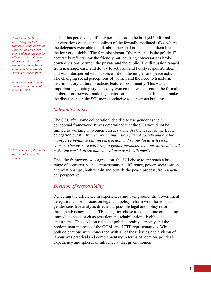*5 While all the Government delegates had worked on conflict related concerns and had travelled widely in the conflict affected areas only one of them, Dr. Fazila Riaz, who resided in Akkaraipattu had been directly affected by the conflict.*

*6 Interview with Kumari Jayawardena, 30 October 2003, Colombo.*

*7 From notes of the meeting available with the author.*

and so this perceived gulf in experience had to be bridged.<sup>5</sup> Informal conversations outside the confines of the formally mediated talks, where the delegates were able to talk about personal issues helped them break the ice very quickly.<sup>6</sup> The feminist slogan, "the personal is the political" accurately reflects how the friendly but inquiring conversations broke down divisions between the private and the public. The discussion ranged from marriage, caste and dowry to activism and family responsibilities and was interspersed with stories of life in the jungles and peace activism. The changing social perceptions of women and the need to transform discriminatory cultural practices featured prominently. This was an important negotiating style used by women that was absent in the formal deliberations between male negotiators at the peace table. It helped make the discussions in the SGI more conducive to consensus building.

#### *Substantive talks*

The SGI, after some deliberation, decided to use gender as their conceptual framework. It was determined that the SGI would not be limited to working on women's issues alone. As the leader of the LTTE delegation put it: "*Women are an indivisible part of society and are the main force behind social reconstruction and so our focus will be on women. However we will bring a gender perspective to our work, this will make the work holistic and we will also work with men*". 7

Once the framework was agreed on, the SGI chose to approach a broad range of concerns, such as representation, difference, power, socialisation and relationships, both within and outside the peace process, from a gender perspective.

#### *Division of responsibility*

Reflecting the difference in experiences and background, the Government delegation chose to focus on legal and policy reform work based on a gender sensitive analysis directed at possible legal and policy reform through advocacy. The LTTE delegation chose to concentrate on meeting immediate needs such as resettlement, rehabilitation, livelihoods and trauma. This division reflected political reality, capacity and the predominant interests of the GOSL and LTTE representatives. While both delegations were concerned with all of these issues, the division of labour was practical and complementary in terms of location, political expediency and spheres of influence at that given moment.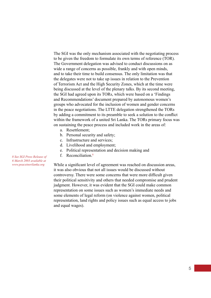The SGI was the only mechanism associated with the negotiating process to be given the freedom to formulate its own terms of reference (TOR). The Government delegation was advised to conduct discussions on as wide a range of concerns as possible, frankly and with open minds, and to take their time to build consensus. The only limitation was that the delegates were not to take up issues in relation to the Prevention of Terrorism Act and the High Security Zones, which at the time were being discussed at the level of the plenary talks. By its second meeting, the SGI had agreed upon its TORs, which were based on a 'Findings and Recommendations' document prepared by autonomous women's groups who advocated for the inclusion of women and gender concerns in the peace negotiations. The LTTE delegation strengthened the TORs by adding a commitment to its preamble to seek a solution to the conflict within the framework of a united Sri Lanka. The TORs primary focus was on sustaining the peace process and included work in the areas of:

- a. Resettlement;
- b. Personal security and safety;
- c. Infrastructure and services;
- d. Livelihood and employment;
- e. Political representation and decision making and
- f. Reconciliation<sup>8</sup>

While a significant level of agreement was reached on discussion areas, it was also obvious that not all issues would be discussed without controversy. There were some concerns that were more difficult given their political sensitivity and others that needed compromise and prudent judgment. However, it was evident that the SGI could make common representation on some issues such as women's immediate needs and some elements of legal reform (on violence against women, political representation, land rights and policy issues such as equal access to jobs and equal wages).

*8 See SGI Press Release of 6 March 2003 available at www.peaceinsrilanka.org*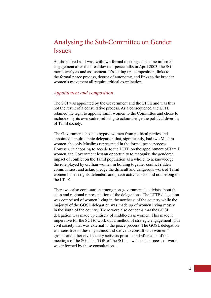## Analysing the Sub-Committee on Gender **Issues**

As short-lived as it was, with two formal meetings and some informal engagement after the breakdown of peace talks in April 2003, the SGI merits analysis and assessment. It's setting up, composition, links to the formal peace process, degree of autonomy, and links to the broader women's movement all require critical examination.

#### *Appointment and composition*

The SGI was appointed by the Government and the LTTE and was thus not the result of a consultative process. As a consequence, the LTTE retained the right to appoint Tamil women to the Committee and chose to include only its own cadre, refusing to acknowledge the political diversity of Tamil society.

The Government chose to bypass women from political parties and appointed a multi ethnic delegation that, significantly, had two Muslim women, the only Muslims represented in the formal peace process. However, in choosing to accede to the LTTE on the appointment of Tamil women, the Government lost an opportunity to recognise the gendered impact of conflict on the Tamil population as a whole; to acknowledge the role played by civilian women in holding together conflict ridden communities; and acknowledge the difficult and dangerous work of Tamil women human rights defenders and peace activists who did not belong to the LTTE.

There was also contestation among non-governmental activists about the class and regional representation of the delegations. The LTTE delegation was comprised of women living in the northeast of the country while the majority of the GOSL delegation was made up of women living mostly in the south of the country. There were also concerns that the GOSL delegation was made up entirely of middle-class women. This made it imperative for the SGI to work out a method of strategic engagement with civil society that was external to the peace process. The GOSL delegation was sensitive to these dynamics and strove to consult with women's groups and other civil society activists prior to and after each of the meetings of the SGI. The TOR of the SGI, as well as its process of work, was informed by these consultations.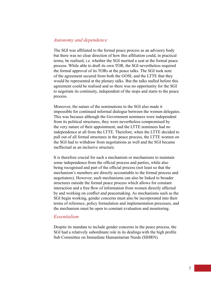#### *Autonomy and dependence*

The SGI was affiliated to the formal peace process as an advisory body but there was no clear direction of how this affiliation could, in practical terms, be realised, i.e. whether the SGI merited a seat at the formal peace process. While able to draft its own TOR, the SGI nevertheless required the formal approval of its TORs at the peace talks. The SGI took note of the agreement secured from both the GOSL and the LTTE that they would be represented at the plenary talks. But the talks stalled before this agreement could be realised and so there was no opportunity for the SGI to negotiate its continuity, independent of the stops and starts to the peace process.

Moreover, the nature of the nominations to the SGI also made it impossible for continued informal dialogue between the women delegates. This was because although the Government nominees were independent from its political structures, they were nevertheless compromised by the very nature of their appointment, and the LTTE nominees had no independence at all from the LTTE. Therefore, when the LTTE decided to pull out of all formal structures in the peace process, the LTTE women on the SGI had to withdraw from negotiations as well and the SGI became ineffectual as an inclusive structure.

It is therefore crucial for such a mechanism or mechanisms to maintain some independence from the official process and parties, while also being recognised and part of the official process (not least so that the mechanism's members are directly accountable to the formal process and negotiators). However, such mechanisms can also be linked to broader structures outside the formal peace process which allows for constant interaction and a free flow of information from women directly affected by and working on conflict and peacemaking. As mechanisms such as the SGI begin working, gender concerns must also be incorporated into their terms of reference, policy formulation and implementation processes, and the mechanism must be open to constant evaluation and monitoring.

#### *Essentialism*

Despite its mandate to include gender concerns in the peace process, the SGI had a relatively subordinate role in its dealings with the high profile Sub Committee on Immediate Humanitarian Needs (SIHRN).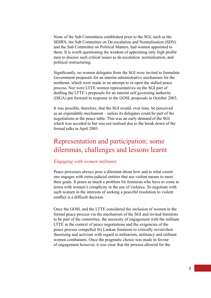None of the Sub Committees established prior to the SGI, such as the SIHRN, the Sub Committee on De-escalation and Normalisation (SDN) and the Sub Committee on Political Matters, had women appointed to them. It is worth questioning the wisdom of appointing only high profile men to discuss such critical issues as de-escalation. normalisation, and political restructuring.

Significantly, no women delegates from the SGI were invited to formulate Government proposals for an interim administrative mechanism for the northeast, which were made in an attempt to re-open the stalled peace process. Nor were LTTE women representatives on the SGI part of drafting the LTTE's proposals for an interim self governing authority (ISGA) put forward in response to the GOSL proposals in October 2003.

It was possible, therefore, that the SGI would, over time, be perceived as an expendable mechanism – unless its delegates could be part of the negotiations at the peace table. This was an early demand of the SGI which was acceded to but was not realised due to the break down of the formal talks in April 2003.

# Representation and participation: some dilemmas, challenges and lessons learnt

#### *Engaging with women militants*

Peace processes always pose a dilemma about how and to what extent one engages with extra-judicial entities that use violent means to meet their goals. It poses as much a problem for feminists who have to come to terms with women's complicity in the use of violence. To negotiate with such women in the interests of seeking a peaceful resolution to violent conflict is a difficult decision.

Once the GOSL and the LTTE considered the inclusion of women in the formal peace process via the mechanism of the SGI and invited feminists to be part of the committee, the necessity of engagement with the militant LTTE in the context of peace negotiations and the exigencies of the peace process compelled Sri Lankan feminists to critically revisit their theorising and activism with regard to militarism, militancy and militant women combatants. Once the pragmatic choice was made in favour of engagement however, it was clear that the process allowed for the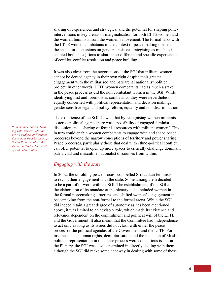sharing of experiences and strategies; and the potential for shaping policy interventions in key arenas of marginalisation for both LTTE women and the women/feminists from the women's movement. The formal talks with the LTTE women combatants in the context of peace making opened the space for discussions on gender sensitive strategising as much as it enabled both delegations to share their different and specific experiences of conflict, conflict resolution and peace building.

It was also clear from the negotiations at the SGI that militant women cannot be denied agency in their own right despite their greater engagement with the militarised and patriarchal nationalist political project. In other words, LTTE women combatants had as much a stake in the peace process as did the non combatant women in the SGI. While identifying first and foremost as combatants, they were nevertheless equally concerned with political representation and decision making; gender sensitive legal and policy reform; equality and non discrimination.

The experience of the SGI showed that by recognising women militants as active political agents there was a possibility of engaged feminist discussion and a sharing of feminist resources with militant women.<sup>9</sup> This in turn could enable women combatants to engage with and shape peace processes beyond the narrow conceptions of territory and power sharing. Peace processes, particularly those that deal with ethno-political conflict, can offer potential to open up more spaces to critically challenge dominant patriarchal and masculine nationalist discourses from within.

#### *Engaging with the state*

In 2002, the unfolding peace process compelled Sri Lankan feminists to revisit their engagement with the state. Some among them decided to be a part of or work with the SGI. The establishment of the SGI and the elaboration of its mandate at the plenary talks included women in the formal peacemaking structures and shifted women's engagement in peacemaking from the non-formal to the formal arena. While the SGI did indeed retain a great degree of autonomy as has been mentioned above, it was limited to an advisory role, which made its existence and relevance dependent on the commitment and political will of the LTTE and the Government. It also meant that the Committee had independence to act only as long as its issues did not clash with either the peace process or the political agendas of the Government and the LTTE. For instance, since human rights, demilitarisation and the inclusion of Muslim political representation in the peace process were contentious issues at the Plenary, the SGI was also constrained in directly dealing with them, although the SGI did make some headway in dealing with some of these

*9 Emmanuel, Sarala, Dealing with Women's Militancy: An analysis of Feminist Discourses from Sri Lanka, Social Policy Analysis & Research Centre, University of Colombo, (2006).*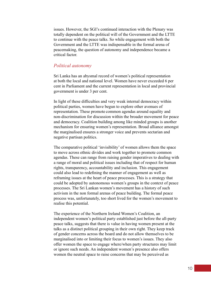issues. However, the SGI's continued interaction with the Plenary was totally dependent on the political will of the Government and the LTTE to continue with the peace talks. So while engagement with both the Government and the LTTE was indispensable in the formal arena of peacemaking, the question of autonomy and independence became a critical factor.

#### *Political autonomy*

Sri Lanka has an abysmal record of women's political representation at both the local and national level. Women have never exceeded 6 per cent in Parliament and the current representation in local and provincial government is under 3 per cent.

In light of these difficulties and very weak internal democracy within political parties, women have begun to explore other avenues of representation. These promote common agendas around equality and non-discrimination for discussion within the broader movement for peace and democracy. Coalition building among like minded groups is another mechanism for ensuring women's representation. Broad alliance amongst the marginalised ensures a stronger voice and prevents sectarian and negative partisan politics.

The comparative political 'invisibility' of women allows them the space to move across ethnic divides and work together to promote common agendas. These can range from raising gender imperatives to dealing with a range of moral and political issues including that of respect for human rights, transparency, accountability and inclusion. This engagement could also lead to redefining the manner of engagement as well as reframing issues at the heart of peace processes. This is a strategy that could be adopted by autonomous women's groups in the context of peace processes. The Sri Lankan women's movement has a history of such activism in the non formal arenas of peace building. The formal peace process was, unfortunately, too short lived for the women's movement to realise this potential.

The experience of the Northern Ireland Women's Coalition, an independent women's political party established just before the all-party peace talks, suggests that there is value in having women present at the talks as a distinct political grouping in their own right. They keep track of gender concerns across the board and do not allow themselves to be marginalised into or limiting their focus to women's issues. They also offer women the space to engage where/when party structures may limit or ignore such needs. An independent women's presence also offers women the neutral space to raise concerns that may be perceived as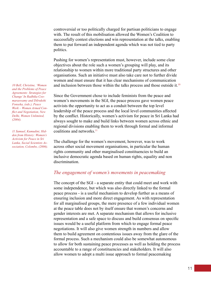controversial or too politically charged for partisan politicians to engage with. The result of this mobilisation allowed the Women's Coalition to successfully contest elections and win representation at the talks, enabling them to put forward an independent agenda which was not tied to party politics.

Pushing for women's representation must, however, include some clear objectives about the role such a women's grouping will play, and its relationship to women within more traditional party structures and other organisations. Such an initiative must also take care not to further divide women and must ensure that it has clear mechanisms of communication and inclusion between those within the talks process and those outside it.<sup>10</sup>

Since the Government chose to include feminists from the peace and women's movements in the SGI, the peace process gave women peace activists the opportunity to act as a conduit between the top level leadership of the peace process and the local level communities affected by the conflict. Historically, women's activism for peace in Sri Lanka had always sought to make and build links between women across ethnic and regional divisions enabling them to work through formal and informal coalitions and networks $11$ 

The challenge for the women's movement, however, was to work across other social movement organisations, in particular the human rights community and other marginalised constituencies to build an inclusive democratic agenda based on human rights, equality and non discrimination.

#### *The engagement of women's movements in peacemaking*

The concept of the SGI - a separate entity that could meet and work with some independence, but which was also directly linked to the formal peace process - is a useful mechanism to develop further as a means of ensuring inclusion and more direct engagement. As with representation for all marginalised groups, the mere presence of a few individual women at the peace table does not by itself ensure that women's concerns and gender interests are met. A separate mechanism that allows for inclusive representation and a safe space to discuss and build consensus on specific issues would be a useful platform from which to engage formal peace negotiations. It will also give women strength in numbers and allow them to build agreement on contentious issues away from the glare of the formal process. Such a mechanism could also be somewhat autonomous to allow for both sustaining peace processes as well as holding the process accountable to a range of constituencies and stakeholders. It will also allow women to adopt a multi issue approach to formal peacemaking

*10 Bell, Christine, 'Women and the Problems of Peace Agreements: Strategies for Change' In Radhika Coomaraswamy and Dilrukshi Fonseka, (eds.), Peace Work – Women Armed Conflict and Negotiation, New Delhi, Women Unlimited, (2004).*

*11 Samuel, Kumudini, Hidden from History: Women's Activism for Peace in Sri Lanka, Social Scientists Association, Colombo, (2006).*